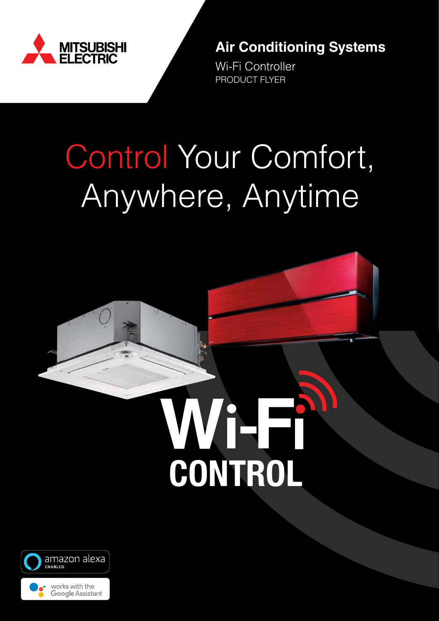

**Air Conditioning Systems**

Wi-Fi Controller PRODUCT FLYER

# Control Your Comfort, Anywhere, Anytime





Google Assistant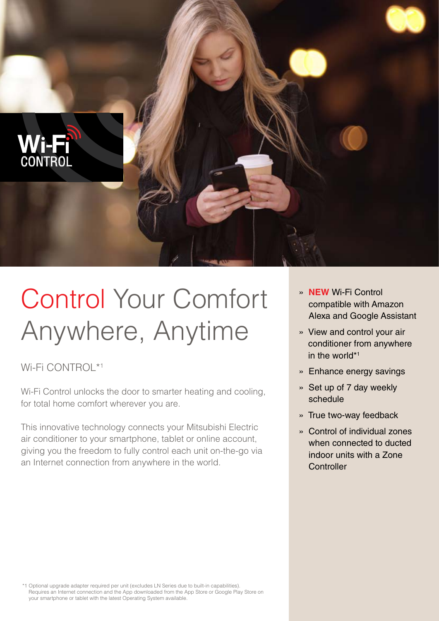

# Control Your Comfort Anywhere, Anytime

Wi-Fi CONTROL\*1

Wi-Fi Control unlocks the door to smarter heating and cooling, for total home comfort wherever you are.

This innovative technology connects your Mitsubishi Electric air conditioner to your smartphone, tablet or online account, giving you the freedom to fully control each unit on-the-go via an Internet connection from anywhere in the world.

- » **NEW** Wi-Fi Control compatible with Amazon Alexa and Google Assistant
- » View and control your air conditioner from anywhere in the world\*1
- » Enhance energy savings
- » Set up of 7 day weekly schedule
- » True two-way feedback
- » Control of individual zones when connected to ducted indoor units with a Zone **Controller**

\*1 Optional upgrade adapter required per unit (excludes LN Series due to built-in capabilities). Requires an Internet connection and the App downloaded from the App Store or Google Play Store on your smartphone or tablet with the latest Operating System available.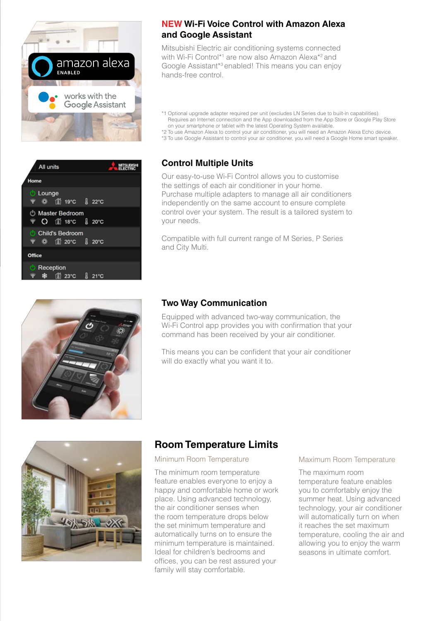

|               | All units               |                                                    |  |  |
|---------------|-------------------------|----------------------------------------------------|--|--|
| Home          |                         |                                                    |  |  |
|               | <b>C</b> Lounge<br>ඳි බ | 11 19°C 8 22°C                                     |  |  |
|               |                         | <b>b</b> Master Bedroom<br><b>⊗ O 1ปั18℃ ป็20℃</b> |  |  |
|               | <b>マーの</b>              | <b>Child's Bedroom</b><br>11 20°C <b>8</b> 20°C    |  |  |
| <b>Office</b> |                         |                                                    |  |  |
|               | Reception<br>Бâ         | 们 23°C                                             |  |  |



#### **NEW Wi-Fi Voice Control with Amazon Alexa and Google Assistant**

Mitsubishi Electric air conditioning systems connected with Wi-Fi Control<sup>\*1</sup> are now also Amazon Alexa<sup>\*2</sup> and Google Assistant\*3 enabled! This means you can enjoy hands-free control.

- \*1 Optional upgrade adapter required per unit (excludes LN Series due to built-in capabilities). Requires an Internet connection and the App downloaded from the App Store or Google Play Store on your smartphone or tablet with the latest Operating System available.
- \*2 To use Amazon Alexa to control your air conditioner, you will need an Amazon Alexa Echo device.
- \*3 To use Google Assistant to control your air conditioner, you will need a Google Home smart speaker.

#### **Control Multiple Units**

Our easy-to-use Wi-Fi Control allows you to customise the settings of each air conditioner in your home. Purchase multiple adapters to manage all air conditioners independently on the same account to ensure complete control over your system. The result is a tailored system to your needs.

Compatible with full current range of M Series, P Series and City Multi.

#### **Two Way Communication**

Equipped with advanced two-way communication, the Wi-Fi Control app provides you with confirmation that your command has been received by your air conditioner.

This means you can be confident that your air conditioner will do exactly what you want it to.



### **Room Temperature Limits**

#### Minimum Room Temperature

The minimum room temperature feature enables everyone to enjoy a happy and comfortable home or work place. Using advanced technology, the air conditioner senses when the room temperature drops below the set minimum temperature and automatically turns on to ensure the minimum temperature is maintained. Ideal for children's bedrooms and offices, you can be rest assured your family will stay comfortable.

#### Maximum Room Temperature

The maximum room temperature feature enables you to comfortably enjoy the summer heat. Using advanced technology, your air conditioner will automatically turn on when it reaches the set maximum temperature, cooling the air and allowing you to enjoy the warm seasons in ultimate comfort.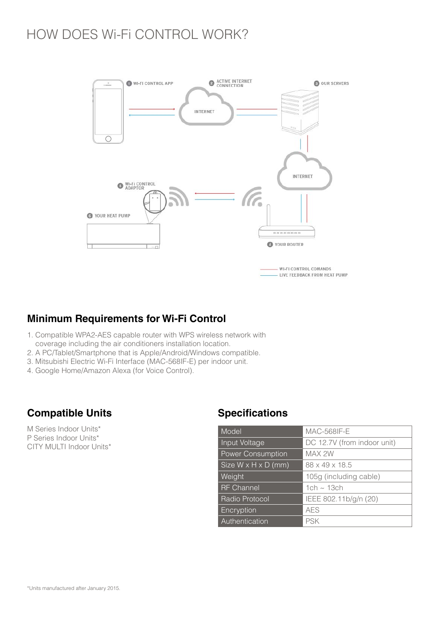### HOW DOES Wi-Fi CONTROL WORK?



### **Minimum Requirements for Wi-Fi Control**

- 1. Compatible WPA2-AES capable router with WPS wireless network with coverage including the air conditioners installation location.
- 2. A PC/Tablet/Smartphone that is Apple/Android/Windows compatible.
- 3. Mitsubishi Electric Wi-Fi Interface (MAC-568IF-E) per indoor unit.
- 4. Google Home/Amazon Alexa (for Voice Control).

### **Compatible Units Specifications**

M Series Indoor Units\* P Series Indoor Units\* CITY MULTI Indoor Units\*

| Model                           | <b>MAC-568IF-E</b>          |
|---------------------------------|-----------------------------|
| Input Voltage                   | DC 12.7V (from indoor unit) |
| <b>Power Consumption</b>        | MAX 2W                      |
| Size $W \times H \times D$ (mm) | 88 x 49 x 18.5              |
| Weight                          | 105g (including cable)      |
| <b>RF</b> Channel               | 1ch $\sim$ 13ch             |
| <b>Radio Protocol</b>           | IEEE 802.11b/g/n (20)       |
| Encryption                      | <b>AES</b>                  |
| Authentication                  | <b>PSK</b>                  |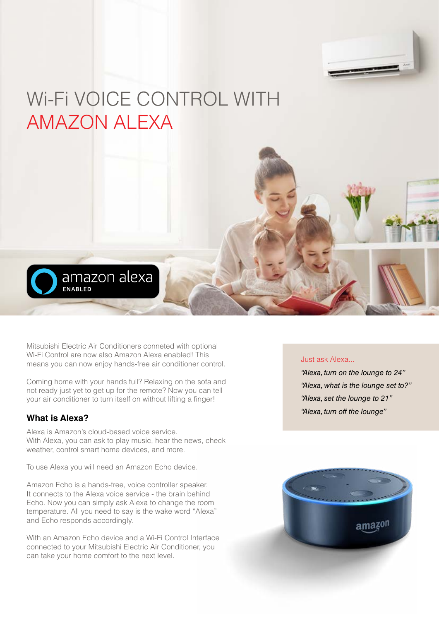

## Wi-Fi VOICE CONTROL WITH AMAZON ALEXA



Mitsubishi Electric Air Conditioners conneted with optional Wi-Fi Control are now also Amazon Alexa enabled! This means you can now enjoy hands-free air conditioner control.

Coming home with your hands full? Relaxing on the sofa and not ready just yet to get up for the remote? Now you can tell your air conditioner to turn itself on without lifting a finger!

#### **What is Alexa?**

Alexa is Amazon's cloud-based voice service. With Alexa, you can ask to play music, hear the news, check weather, control smart home devices, and more.

To use Alexa you will need an Amazon Echo device.

Amazon Echo is a hands-free, voice controller speaker. It connects to the Alexa voice service - the brain behind Echo. Now you can simply ask Alexa to change the room temperature. All you need to say is the wake word "Alexa" and Echo responds accordingly.

With an Amazon Echo device and a Wi-Fi Control Interface connected to your Mitsubishi Electric Air Conditioner, you can take your home comfort to the next level.

#### Just ask Alexa...

*"Alexa, turn on the lounge to 24" "Alexa, what is the lounge set to?" "Alexa, set the lounge to 21" "Alexa, turn off the lounge"*

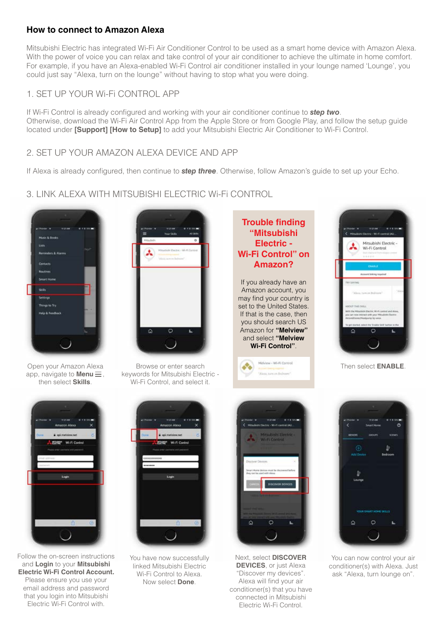#### **How to connect to Amazon Alexa**

Mitsubishi Electric has integrated Wi-Fi Air Conditioner Control to be used as a smart home device with Amazon Alexa. With the power of voice you can relax and take control of your air conditioner to achieve the ultimate in home comfort. For example, if you have an Alexa-enabled Wi-Fi Control air conditioner installed in your lounge named 'Lounge', you could just say "Alexa, turn on the lounge" without having to stop what you were doing.

#### 1. SET UP YOUR Wi-Fi CONTROL APP

If Wi-Fi Control is already configured and working with your air conditioner continue to *step two*. Otherwise, download the Wi-Fi Air Control App from the Apple Store or from Google Play, and follow the setup guide located under **[Support] [How to Setup]** to add your Mitsubishi Electric Air Conditioner to Wi-Fi Control.

#### 2. SET UP YOUR AMAZON ALEXA DEVICE AND APP

If Alexa is already configured, then continue to *step three*. Otherwise, follow Amazon's guide to set up your Echo.

#### 3. LINK ALEXA WITH MITSUBISHI ELECTRIC Wi-Fi CONTROL





Browse or enter search keywords for Mitsubishi Electric - Wi-Fi Control, and select it.



If you already have an Amazon account, you may find your country is set to the United States. If that is the case, then you should search US Amazon for **"Melview"**  and select **"Melview Wi-Fi Control"**.

> Melview - Wi-Fi Control on view on finites



Then select **ENABLE**.

Open your Amazon Alexa app, navigate to **Menu** $\equiv$ , then select **Skills**.



Follow the on-screen instructions and **Login** to your **Mitsubishi Electric Wi-Fi Control Account.**  Please ensure you use your email address and password that you login into Mitsubishi Electric Wi-Fi Control with.



You have now successfully linked Mitsubishi Electric Wi-Fi Control to Alexa. Now select **Done**.



Next, select **DISCOVER DEVICES**, or just Alexa "Discover my devices". Alexa will find your air conditioner(s) that you have connected in Mitsubishi Electric Wi-Fi Control.



You can now control your air conditioner(s) with Alexa. Just ask "Alexa, turn lounge on".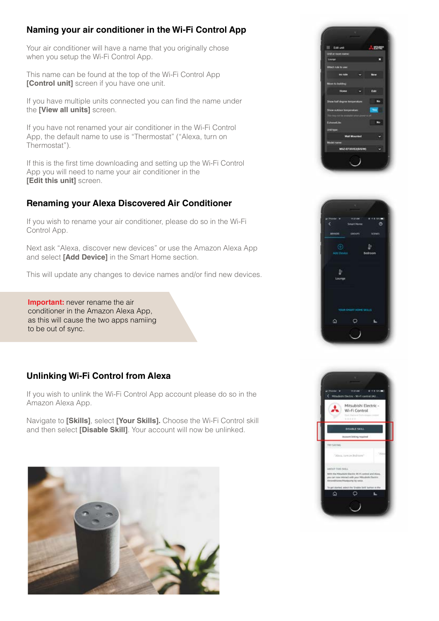#### **Naming your air conditioner in the Wi-Fi Control App**

Your air conditioner will have a name that you originally chose when you setup the Wi-Fi Control App.

This name can be found at the top of the Wi-Fi Control App **[Control unit]** screen if you have one unit.

If you have multiple units connected you can find the name under the **[View all units]** screen.

If you have not renamed your air conditioner in the Wi-Fi Control App, the default name to use is "Thermostat" ("Alexa, turn on Thermostat").

If this is the first time downloading and setting up the Wi-Fi Control App you will need to name your air conditioner in the **[Edit this unit]** screen.

#### **Renaming your Alexa Discovered Air Conditioner**

If you wish to rename your air conditioner, please do so in the Wi-Fi Control App.

Next ask "Alexa, discover new devices" or use the Amazon Alexa App and select **[Add Device]** in the Smart Home section.

This will update any changes to device names and/or find new devices.

**Important:** never rename the air conditioner in the Amazon Alexa App, as this will cause the two apps namiing to be out of sync.

#### **Unlinking Wi-Fi Control from Alexa**

If you wish to unlink the Wi-Fi Control App account please do so in the Amazon Alexa App.

Navigate to **[Skills]**, select **[Your Skills].** Choose the Wi-Fi Control skill and then select **[Disable Skill]**. Your account will now be unlinked.







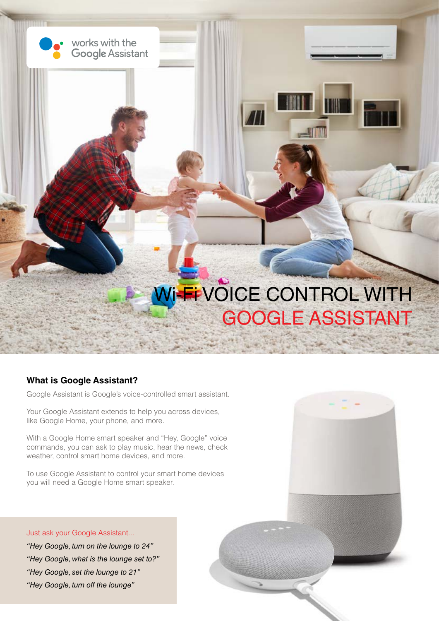

#### **What is Google Assistant?**

Google Assistant is Google's voice-controlled smart assistant.

Your Google Assistant extends to help you across devices, like Google Home, your phone, and more.

With a Google Home smart speaker and "Hey, Google" voice commands, you can ask to play music, hear the news, check weather, control smart home devices, and more.

To use Google Assistant to control your smart home devices you will need a Google Home smart speaker.

Just ask your Google Assistant... *"Hey Google, turn on the lounge to 24" "Hey Google, what is the lounge set to?" "Hey Google, set the lounge to 21" "Hey Google, turn off the lounge"*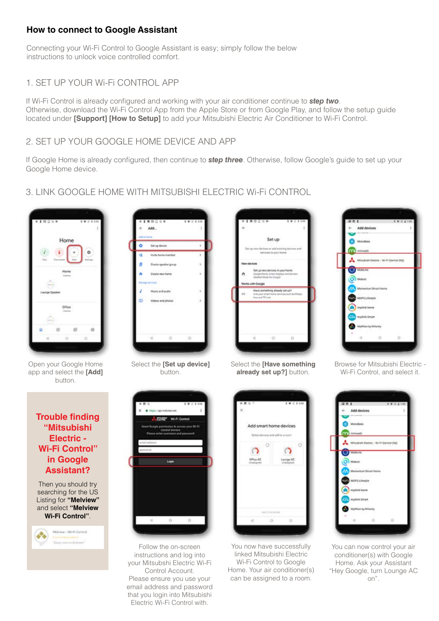#### **How to connect to Google Assistant**

Connecting your Wi-Fi Control to Google Assistant is easy; simply follow the below instructions to unlock voice controlled comfort.

#### 1. SET UP YOUR Wi-Fi CONTROL APP

If Wi-Fi Control is already configured and working with your air conditioner continue to *step two*. Otherwise, download the Wi-Fi Control App from the Apple Store or from Google Play, and follow the setup guide located under **[Support] [How to Setup]** to add your Mitsubishi Electric Air Conditioner to Wi-Fi Control.

#### 2. SET UP YOUR GOOGLE HOME DEVICE AND APP

If Google Home is already configured, then continue to *step three*. Otherwise, follow Google's guide to set up your Google Home device.

#### 3. LINK GOOGLE HOME WITH MITSUBISHI ELECTRIC Wi-Fi CONTROL





Select the **[Set up device]**  button.







Browse for Mitsubishi Electric - Wi-Fi Control, and select it.

#### **Trouble finding "Mitsubishi Electric - Wi-Fi Control" in Google Assistant?**

app and select the **[Add]**  button.

> Then you should try searching for the US Listing for **"Melview"**  and select **"Melview Wi-Fi Control"**.





Follow the on-screen instructions and log into your Mitsubshi Electric Wi-Fi Control Account. Please ensure you use your email address and password that you login into Mitsubishi Electric Wi-Fi Control with.



You now have successfully linked Mitsubishi Electric Wi-Fi Control to Google Home. Your air conditioner(s) can be assigned to a room.



You can now control your air conditioner(s) with Google Home. Ask your Assistant "Hey Google, turn Lounge AC on".